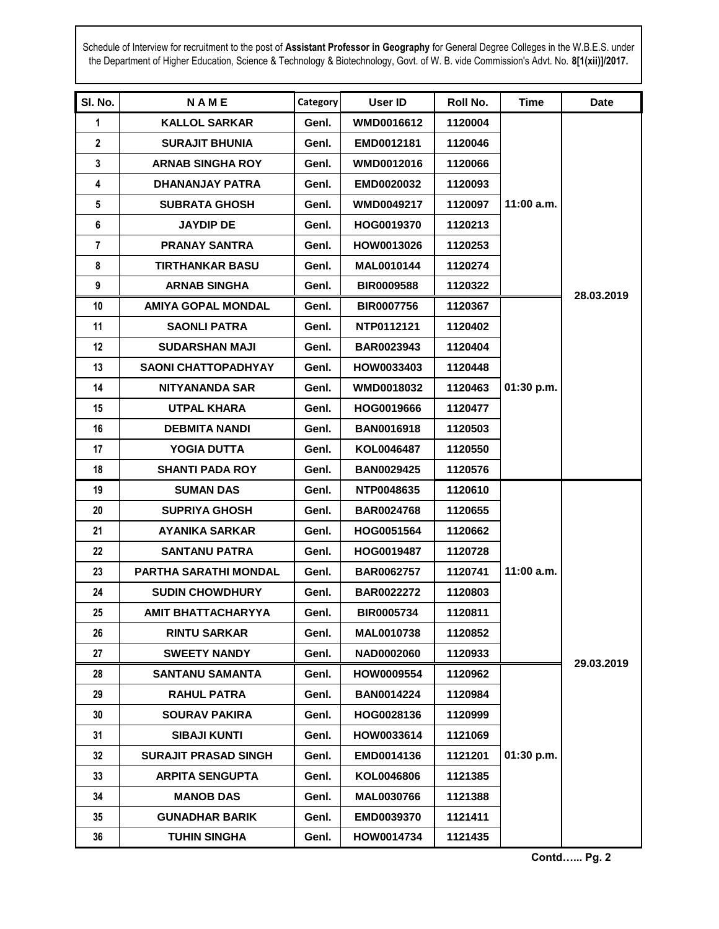Schedule of Interview for recruitment to the post of **Assistant Professor in Geography** for General Degree Colleges in the W.B.E.S. under the Department of Higher Education, Science & Technology & Biotechnology, Govt. of W. B. vide Commission's Advt. No. **8[1(xii)]/2017.**

| SI. No.        | <b>NAME</b>                 | Category | User ID           | Roll No. | Time         | <b>Date</b> |
|----------------|-----------------------------|----------|-------------------|----------|--------------|-------------|
| $\mathbf 1$    | <b>KALLOL SARKAR</b>        | Genl.    | <b>WMD0016612</b> | 1120004  |              |             |
| $\mathbf{2}$   | <b>SURAJIT BHUNIA</b>       | Genl.    | EMD0012181        | 1120046  |              |             |
| 3              | <b>ARNAB SINGHA ROY</b>     | Genl.    | WMD0012016        | 1120066  |              |             |
| 4              | DHANANJAY PATRA             | Genl.    | <b>EMD0020032</b> | 1120093  |              |             |
| 5              | <b>SUBRATA GHOSH</b>        | Genl.    | <b>WMD0049217</b> | 1120097  | $11:00$ a.m. |             |
| 6              | <b>JAYDIP DE</b>            | Genl.    | HOG0019370        | 1120213  |              |             |
| $\overline{7}$ | <b>PRANAY SANTRA</b>        | Genl.    | HOW0013026        | 1120253  |              |             |
| 8              | <b>TIRTHANKAR BASU</b>      | Genl.    | MAL0010144        | 1120274  |              | 28.03.2019  |
| 9              | <b>ARNAB SINGHA</b>         | Genl.    | <b>BIR0009588</b> | 1120322  |              |             |
| 10             | <b>AMIYA GOPAL MONDAL</b>   | Genl.    | <b>BIR0007756</b> | 1120367  |              |             |
| 11             | <b>SAONLI PATRA</b>         | Genl.    | NTP0112121        | 1120402  |              |             |
| 12             | <b>SUDARSHAN MAJI</b>       | Genl.    | <b>BAR0023943</b> | 1120404  |              |             |
| 13             | <b>SAONI CHATTOPADHYAY</b>  | Genl.    | HOW0033403        | 1120448  |              |             |
| 14             | <b>NITYANANDA SAR</b>       | Genl.    | <b>WMD0018032</b> | 1120463  | 01:30 p.m.   |             |
| 15             | <b>UTPAL KHARA</b>          | Genl.    | HOG0019666        | 1120477  |              |             |
| 16             | <b>DEBMITA NANDI</b>        | Genl.    | <b>BAN0016918</b> | 1120503  |              |             |
| 17             | YOGIA DUTTA                 | Genl.    | KOL0046487        | 1120550  |              |             |
| 18             | <b>SHANTI PADA ROY</b>      | Genl.    | <b>BAN0029425</b> | 1120576  |              |             |
| 19             | <b>SUMAN DAS</b>            | Genl.    | NTP0048635        | 1120610  |              |             |
| 20             | <b>SUPRIYA GHOSH</b>        | Genl.    | <b>BAR0024768</b> | 1120655  |              |             |
| 21             | <b>AYANIKA SARKAR</b>       | Genl.    | HOG0051564        | 1120662  |              |             |
| 22             | <b>SANTANU PATRA</b>        | Genl.    | HOG0019487        | 1120728  |              |             |
| 23             | PARTHA SARATHI MONDAL       | Genl.    | <b>BAR0062757</b> | 1120741  | $11:00$ a.m. |             |
| 24             | <b>SUDIN CHOWDHURY</b>      | Genl.    | <b>BAR0022272</b> | 1120803  |              |             |
| 25             | <b>AMIT BHATTACHARYYA</b>   | Genl.    | <b>BIR0005734</b> | 1120811  |              |             |
| 26             | <b>RINTU SARKAR</b>         | Genl.    | <b>MAL0010738</b> | 1120852  |              | 29.03.2019  |
| 27             | <b>SWEETY NANDY</b>         | Genl.    | NAD0002060        | 1120933  |              |             |
| 28             | <b>SANTANU SAMANTA</b>      | Genl.    | HOW0009554        | 1120962  |              |             |
| 29             | <b>RAHUL PATRA</b>          | Genl.    | <b>BAN0014224</b> | 1120984  |              |             |
| 30             | <b>SOURAV PAKIRA</b>        | Genl.    | HOG0028136        | 1120999  |              |             |
| 31             | <b>SIBAJI KUNTI</b>         | Genl.    | HOW0033614        | 1121069  |              |             |
| 32             | <b>SURAJIT PRASAD SINGH</b> | Genl.    | EMD0014136        | 1121201  | 01:30 p.m.   |             |
| 33             | <b>ARPITA SENGUPTA</b>      | Genl.    | KOL0046806        | 1121385  |              |             |
| 34             | <b>MANOB DAS</b>            | Genl.    | MAL0030766        | 1121388  |              |             |
| 35             | <b>GUNADHAR BARIK</b>       | Genl.    | EMD0039370        | 1121411  |              |             |
| 36             | <b>TUHIN SINGHA</b>         | Genl.    | HOW0014734        | 1121435  |              |             |

**Contd…... Pg. 2**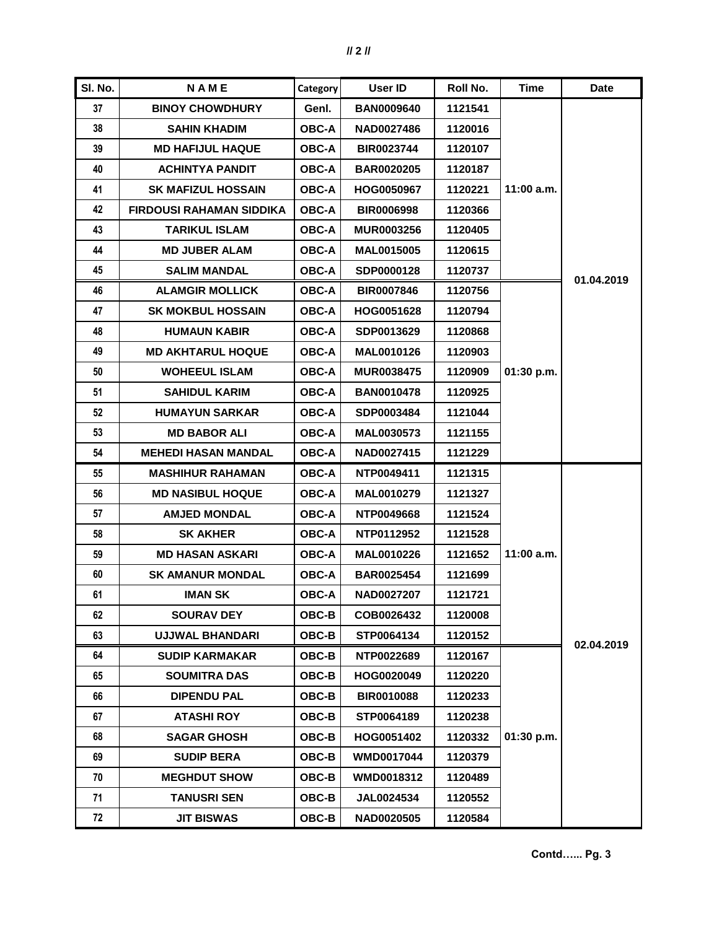| SI. No. | <b>NAME</b>                     | <b>Category</b> | User ID           | Roll No. | Time         | <b>Date</b> |
|---------|---------------------------------|-----------------|-------------------|----------|--------------|-------------|
| 37      | <b>BINOY CHOWDHURY</b>          | Genl.           | <b>BAN0009640</b> | 1121541  |              |             |
| 38      | <b>SAHIN KHADIM</b>             | <b>OBC-A</b>    | <b>NAD0027486</b> | 1120016  |              |             |
| 39      | <b>MD HAFIJUL HAQUE</b>         | <b>OBC-A</b>    | <b>BIR0023744</b> | 1120107  |              |             |
| 40      | <b>ACHINTYA PANDIT</b>          | <b>OBC-A</b>    | <b>BAR0020205</b> | 1120187  |              |             |
| 41      | <b>SK MAFIZUL HOSSAIN</b>       | <b>OBC-A</b>    | HOG0050967        | 1120221  | 11:00 a.m.   | 01.04.2019  |
| 42      | <b>FIRDOUSI RAHAMAN SIDDIKA</b> | <b>OBC-A</b>    | <b>BIR0006998</b> | 1120366  |              |             |
| 43      | <b>TARIKUL ISLAM</b>            | <b>OBC-A</b>    | <b>MUR0003256</b> | 1120405  |              |             |
| 44      | <b>MD JUBER ALAM</b>            | <b>OBC-A</b>    | <b>MAL0015005</b> | 1120615  |              |             |
| 45      | <b>SALIM MANDAL</b>             | <b>OBC-A</b>    | SDP0000128        | 1120737  |              |             |
| 46      | <b>ALAMGIR MOLLICK</b>          | <b>OBC-A</b>    | <b>BIR0007846</b> | 1120756  |              |             |
| 47      | <b>SK MOKBUL HOSSAIN</b>        | <b>OBC-A</b>    | HOG0051628        | 1120794  |              |             |
| 48      | <b>HUMAUN KABIR</b>             | <b>OBC-A</b>    | SDP0013629        | 1120868  |              |             |
| 49      | <b>MD AKHTARUL HOQUE</b>        | <b>OBC-A</b>    | MAL0010126        | 1120903  |              |             |
| 50      | <b>WOHEEUL ISLAM</b>            | <b>OBC-A</b>    | <b>MUR0038475</b> | 1120909  | 01:30 p.m.   |             |
| 51      | <b>SAHIDUL KARIM</b>            | <b>OBC-A</b>    | <b>BAN0010478</b> | 1120925  |              |             |
| 52      | <b>HUMAYUN SARKAR</b>           | <b>OBC-A</b>    | SDP0003484        | 1121044  |              |             |
| 53      | <b>MD BABOR ALI</b>             | <b>OBC-A</b>    | MAL0030573        | 1121155  |              |             |
| 54      | <b>MEHEDI HASAN MANDAL</b>      | <b>OBC-A</b>    | NAD0027415        | 1121229  |              |             |
| 55      | <b>MASHIHUR RAHAMAN</b>         | <b>OBC-A</b>    | NTP0049411        | 1121315  |              |             |
| 56      | <b>MD NASIBUL HOQUE</b>         | <b>OBC-A</b>    | MAL0010279        | 1121327  |              |             |
| 57      | <b>AMJED MONDAL</b>             | <b>OBC-A</b>    | NTP0049668        | 1121524  |              |             |
| 58      | <b>SK AKHER</b>                 | <b>OBC-A</b>    | NTP0112952        | 1121528  |              |             |
| 59      | <b>MD HASAN ASKARI</b>          | <b>OBC-A</b>    | MAL0010226        | 1121652  | $11:00$ a.m. |             |
| 60      | <b>SK AMANUR MONDAL</b>         | <b>OBC-A</b>    | BAR0025454        | 1121699  |              | 02.04.2019  |
| 61      | <b>IMAN SK</b>                  | <b>OBC-A</b>    | NAD0027207        | 1121721  |              |             |
| 62      | <b>SOURAV DEY</b>               | OBC-B           | COB0026432        | 1120008  |              |             |
| 63      | <b>UJJWAL BHANDARI</b>          | OBC-B           | STP0064134        | 1120152  |              |             |
| 64      | <b>SUDIP KARMAKAR</b>           | <b>OBC-B</b>    | NTP0022689        | 1120167  |              |             |
| 65      | <b>SOUMITRA DAS</b>             | <b>OBC-B</b>    | HOG0020049        | 1120220  |              |             |
| 66      | <b>DIPENDU PAL</b>              | OBC-B           | BIR0010088        | 1120233  | 01:30 p.m.   |             |
| 67      | <b>ATASHI ROY</b>               | $OBC-B$         | STP0064189        | 1120238  |              |             |
| 68      | <b>SAGAR GHOSH</b>              | <b>OBC-B</b>    | HOG0051402        | 1120332  |              |             |
| 69      | <b>SUDIP BERA</b>               | OBC-B           | WMD0017044        | 1120379  |              |             |
| 70      | <b>MEGHDUT SHOW</b>             | OBC-B           | WMD0018312        | 1120489  |              |             |
| 71      | <b>TANUSRI SEN</b>              | OBC-B           | JAL0024534        | 1120552  |              |             |
| 72      | <b>JIT BISWAS</b>               | OBC-B           | NAD0020505        | 1120584  |              |             |

**Contd…... Pg. 3**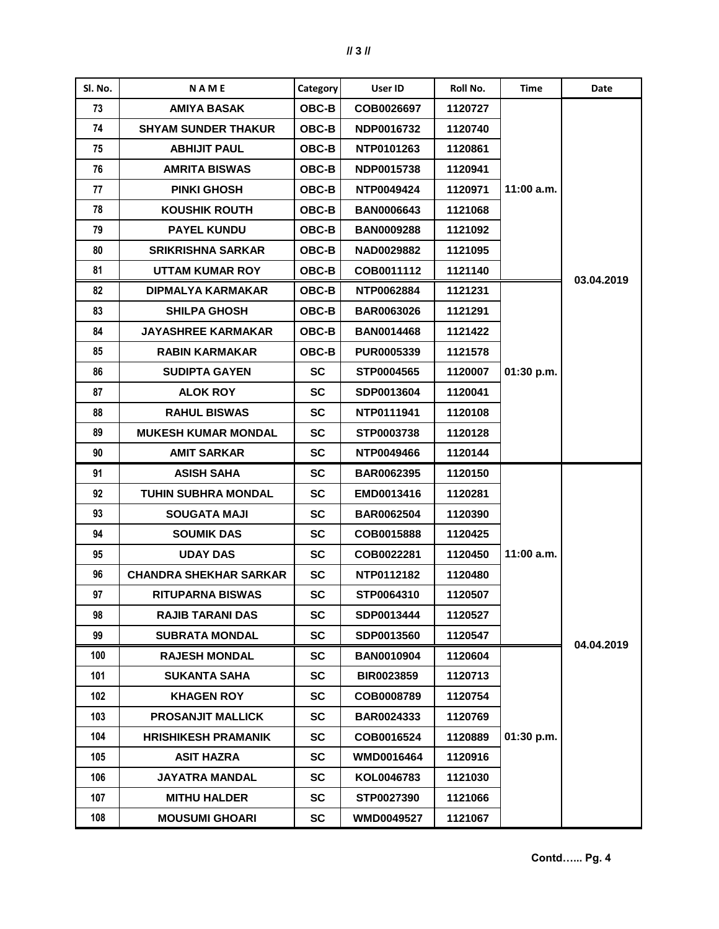| Sl. No. | <b>NAME</b>                   | Category     | User ID           | Roll No. | Time         | Date       |
|---------|-------------------------------|--------------|-------------------|----------|--------------|------------|
| 73      | <b>AMIYA BASAK</b>            | OBC-B        | COB0026697        | 1120727  |              |            |
| 74      | <b>SHYAM SUNDER THAKUR</b>    | <b>OBC-B</b> | NDP0016732        | 1120740  |              |            |
| 75      | <b>ABHIJIT PAUL</b>           | OBC-B        | NTP0101263        | 1120861  |              |            |
| 76      | <b>AMRITA BISWAS</b>          | OBC-B        | NDP0015738        | 1120941  |              |            |
| 77      | <b>PINKI GHOSH</b>            | OBC-B        | NTP0049424        | 1120971  | $11:00$ a.m. |            |
| 78      | <b>KOUSHIK ROUTH</b>          | <b>OBC-B</b> | <b>BAN0006643</b> | 1121068  |              |            |
| 79      | <b>PAYEL KUNDU</b>            | <b>OBC-B</b> | <b>BAN0009288</b> | 1121092  |              |            |
| 80      | <b>SRIKRISHNA SARKAR</b>      | OBC-B        | <b>NAD0029882</b> | 1121095  |              |            |
| 81      | UTTAM KUMAR ROY               | OBC-B        | COB0011112        | 1121140  |              | 03.04.2019 |
| 82      | <b>DIPMALYA KARMAKAR</b>      | <b>OBC-B</b> | NTP0062884        | 1121231  |              |            |
| 83      | <b>SHILPA GHOSH</b>           | <b>OBC-B</b> | <b>BAR0063026</b> | 1121291  |              |            |
| 84      | <b>JAYASHREE KARMAKAR</b>     | <b>OBC-B</b> | <b>BAN0014468</b> | 1121422  |              |            |
| 85      | <b>RABIN KARMAKAR</b>         | <b>OBC-B</b> | <b>PUR0005339</b> | 1121578  |              |            |
| 86      | <b>SUDIPTA GAYEN</b>          | <b>SC</b>    | <b>STP0004565</b> | 1120007  | 01:30 p.m.   |            |
| 87      | <b>ALOK ROY</b>               | <b>SC</b>    | SDP0013604        | 1120041  |              |            |
| 88      | <b>RAHUL BISWAS</b>           | <b>SC</b>    | NTP0111941        | 1120108  |              |            |
| 89      | <b>MUKESH KUMAR MONDAL</b>    | <b>SC</b>    | STP0003738        | 1120128  |              |            |
| 90      | AMIT SARKAR                   | <b>SC</b>    | NTP0049466        | 1120144  |              |            |
| 91      | <b>ASISH SAHA</b>             | SC           | <b>BAR0062395</b> | 1120150  |              |            |
| 92      | <b>TUHIN SUBHRA MONDAL</b>    | <b>SC</b>    | <b>EMD0013416</b> | 1120281  |              |            |
| 93      | <b>SOUGATA MAJI</b>           | <b>SC</b>    | <b>BAR0062504</b> | 1120390  |              |            |
| 94      | <b>SOUMIK DAS</b>             | <b>SC</b>    | COB0015888        | 1120425  |              |            |
| 95      | <b>UDAY DAS</b>               | <b>SC</b>    | COB0022281        | 1120450  | $11:00$ a.m. |            |
| 96      | <b>CHANDRA SHEKHAR SARKAR</b> | SC           | NTP0112182        | 1120480  |              |            |
| 97      | <b>RITUPARNA BISWAS</b>       | <b>SC</b>    | STP0064310        | 1120507  |              |            |
| 98      | <b>RAJIB TARANI DAS</b>       | SC           | SDP0013444        | 1120527  |              |            |
| 99      | <b>SUBRATA MONDAL</b>         | SC           | SDP0013560        | 1120547  |              | 04.04.2019 |
| 100     | <b>RAJESH MONDAL</b>          | SC           | <b>BAN0010904</b> | 1120604  |              |            |
| 101     | <b>SUKANTA SAHA</b>           | SC           | <b>BIR0023859</b> | 1120713  |              |            |
| 102     | <b>KHAGEN ROY</b>             | SC           | COB0008789        | 1120754  |              |            |
| 103     | <b>PROSANJIT MALLICK</b>      | SC           | <b>BAR0024333</b> | 1120769  |              |            |
| 104     | <b>HRISHIKESH PRAMANIK</b>    | SC           | COB0016524        | 1120889  | 01:30 p.m.   |            |
| 105     | <b>ASIT HAZRA</b>             | <b>SC</b>    | <b>WMD0016464</b> | 1120916  |              |            |
| 106     | <b>JAYATRA MANDAL</b>         | <b>SC</b>    | KOL0046783        | 1121030  |              |            |
| 107     | <b>MITHU HALDER</b>           | SC           | STP0027390        | 1121066  |              |            |
| 108     | <b>MOUSUMI GHOARI</b>         | SC           | <b>WMD0049527</b> | 1121067  |              |            |